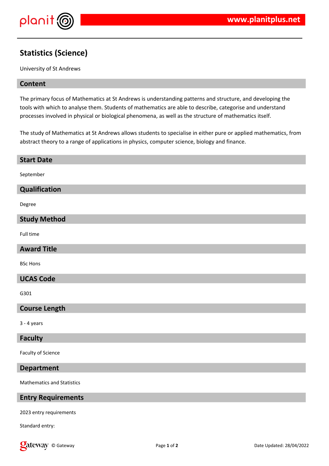

# **Statistics (Science)**

University of St Andrews

#### **Content**

The primary focus of Mathematics at St Andrews is understanding patterns and structure, and developing the tools with which to analyse them. Students of mathematics are able to describe, categorise and understand processes involved in physical or biological phenomena, as well as the structure of mathematics itself.

The study of Mathematics at St Andrews allows students to specialise in either pure or applied mathematics, from abstract theory to a range of applications in physics, computer science, biology and finance.

| <b>Start Date</b>                 |
|-----------------------------------|
| September                         |
| <b>Qualification</b>              |
| Degree                            |
| <b>Study Method</b>               |
| Full time                         |
| <b>Award Title</b>                |
| <b>BSc Hons</b>                   |
| <b>UCAS Code</b>                  |
| G301                              |
| <b>Course Length</b>              |
| $3 - 4$ years                     |
| <b>Faculty</b>                    |
| Faculty of Science                |
| <b>Department</b>                 |
| <b>Mathematics and Statistics</b> |
| <b>Entry Requirements</b>         |
| $2022 - 444$                      |

2023 entry requirements

Standard entry: